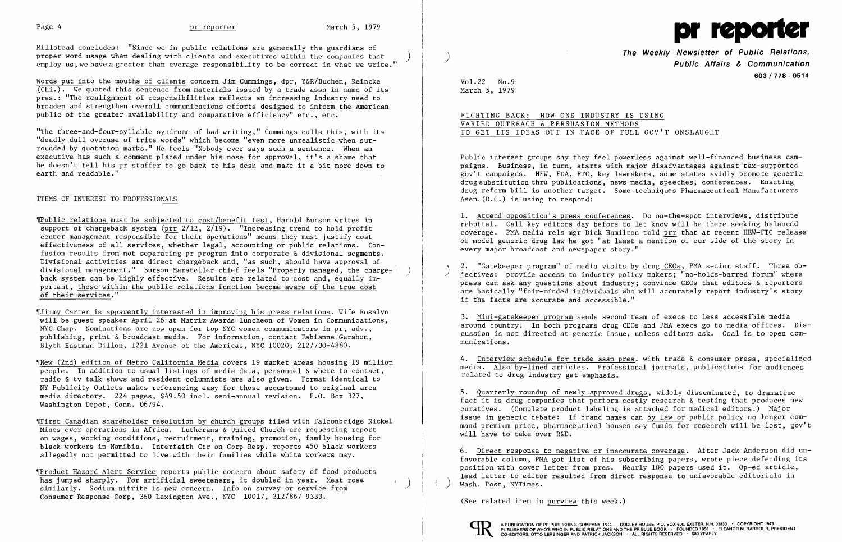

Mi11stead concludes: "Since we in public relations are generally the guardians of proper word usage when dealing with clients and executives within the companies that<br>employ us, we have a greater than average responsibility to be correct in what we write."

Words put into the mouths of clients concern Jim Cummings, dpr, Y&R/Buchen, Reincke  $\overline{(Chi.)}$ . We quoted this sentence from materials issued by a trade assn in name of its pres.: "The realignment of responsibilities reflects an increasing industry need to broaden and strengthen overall communications effonts designed to inform the American public of the greater availability and comparative efficiency" etc., etc.

"The three-and-four-syllab1e syndrome of bad writing;" Cummings calls this, with its "deadly dull overuse of trite words" which become "even more unrealistic when surrounded by quotation marks." He feels "Nobody ever says such a sentence. When an executive has such a comment placed under his nose for approval, it's a shame that he doesn't tell his pr staffer to go back to his desk and make it a bit more down to earth and readable."

### ITEMS OF INTEREST TO PROFESSIONALS

'IPub1ic relations must be subjected to cost/benefit test, Harold Burson writes in support of chargeback system (prr 2/12, 2/19). "Increasing trend to hold profit center management responsible for their operations" means they must justify cost effectiveness of all services, whether legal, accounting or public relations. Confusion results from not separating pr program into corporate & divisional segments. Divisional activities are direct chargeback and, "as such, should have approval of divisional management." Burson-Marsteller chief feels "Properly managed, the charge-<br>back system can be highly effective. Results are related to cost and, equally important, those within the public relations function become aware of the true cost of their services."

Public interest groups say they feel powerless against well-financed business campaigns. Business, in turn, starts with major disadvantages against tax-supported gov't campaigns. HEW, FDA, FTC, key lawmakers, some states avidly promote generic drug substitution thru publications, news media, speeches, conferences. Enacting drug reform bill is another target. Some techniques Pharmaceutical Manufacturers Assn. (D.C.) is using to respond:

'IJimrny Carter is apparently interested in improving his press relations. Wife Rosalyn will be guest speaker April 26 at Matrix Awards luncheon of Women in Communications, NYC Chap. Nominations are now open for top NYC women communicators in pr, adv., publishing, print & broadcast media. For information, contact Fabianne Gershon, Blyth Eastman Dillon, 1221 Avenue of the Americas, NYC 10020; 212/730-4880.

2. "Gatekeeper program" of media visits by drug CEOs, PMA senior staff. Three ob-<br>jectives: provide access to industry policy makers; "no-holds-barred forum" where press can ask any questions about industry; convince CEOs that editors & reporters are basically "fair-minded individuals who will accurately report industry's story if the facts are accurate and accessible."

'INew (2nd) edition of Metro California Media covers 19 market areas housing 19 million people. In addition to usual listings of media data, personnel & where to contact, radio & tv talk shows and resident columnists are also given. Format identical to NY Publicity Outlets makes referencing easy for those accustomed to original area media directory. 224 pages, \$49.50 incl. semi-annual revision. P.O. Box 327, Washington Depot, Conn. 06794.

'IFirst Canadian shareholder resolution by church groups filed with Fa1conbridge Nickel Mines over operations in Africa. Lutherans & United Church are requesting report on wages, working conditions, recruitment, training, promotion, family housing for black workers in Namibia. Interfaith Ctr on Corp Resp. reports 450 black workers allegedly not permitted to live with their families while white workers may.

'IProduct Hazard Alert Service reports public concern about safety of food products has jumped sharply. For artificial sweeteners, it doubled in year. Meat rose similarly. Sodium nitrite is new concern. Info on survey or service from Consumer Response Corp, 360 Lexington Ave., NYC 10017, 212/867-9333.

**The Weekly Newsletter of Public Relations,** ) **Public Affairs & Communication 603/778 - 0514** 

Vo1.22 No.9 March 5, 1979

FIGHTING BACK: HOW ONE INDUSTRY IS USING VARIED OUTREACH & PERSUASION METHODS TO GET ITS IDEAS OUT IN FACE OF FULL GOV'T ONSLAUGHT

**1.** Attend opposition's press conferences. Do on-the-spot interviews, distribute rebuttal. Call key editors day before to let know will be there seeking balanced coverage. PMA media re1s mgr Dick Hamilton told prr that at recent HEW-FTC release of model generic drug law he got "at least a mention of our side of the story in every major broadcast and newspaper story."

3. Mini-gatekeeper program sends second team of execs to less accessible media around country. In both programs drug CEOs and PMA execs go to media offices. Dis cussion is not directed at generic issue, unless editors ask. Goal is to open communications.

4. Interview schedule for trade assn pres. with trade & consumer press, specialized media. Also by-lined articles. Professional journals, publications for audiences related to drug industry get emphasis.

5. Quarterly roundup of newly approved drugs, widely disseminated, to dramatize fact it is drug companies that perform costly research & testing that produces new curatives. (Complete product labeling is attached for medical editors.) Major issue in generic debate: If brand names can by law or public policy no longer command premium price, pharmaceutical houses say funds for research will be lost, gov't will have to take over R&D.

6. Direct response to negative or inaccurate coverage. After Jack Anderson did unfavorable column, PMA got list of his subscribing papers, wrote piece defending its position with cover letter from pres. Nearly 100 papers used it. Op-ed article, lead 1etter-to-editor resulted from direct response to unfavorable editorials in ) Wash. Post, NYTimes.

(See related item in purview this week.)